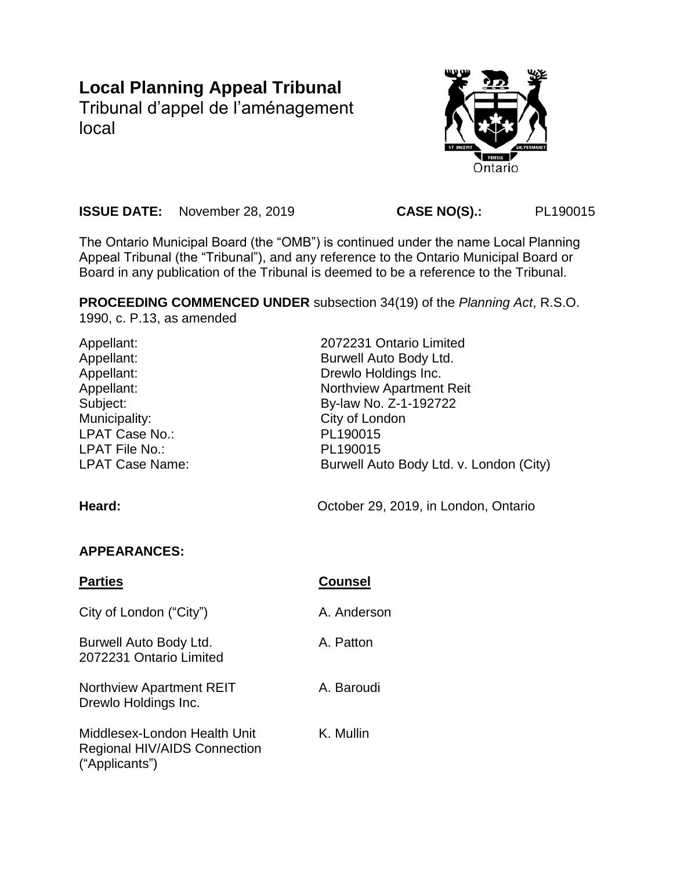# **Local Planning Appeal Tribunal**

Tribunal d'appel de l'aménagement local



**ISSUE DATE:** November 28, 2019 **CASE NO(S).:** PL190015

The Ontario Municipal Board (the "OMB") is continued under the name Local Planning Appeal Tribunal (the "Tribunal"), and any reference to the Ontario Municipal Board or Board in any publication of the Tribunal is deemed to be a reference to the Tribunal.

**PROCEEDING COMMENCED UNDER** subsection 34(19) of the *Planning Act*, R.S.O. 1990, c. P.13, as amended

| Appellant:<br>Appellant:<br>Appellant:<br>Appellant:<br>Subject:<br>Municipality:<br>LPAT Case No.:<br><b>LPAT File No.:</b><br><b>LPAT Case Name:</b><br>Heard: | 2072231 Ontario Limited<br>Burwell Auto Body Ltd.<br>Drewlo Holdings Inc.<br><b>Northview Apartment Reit</b><br>By-law No. Z-1-192722<br>City of London<br>PL190015<br>PL190015<br>Burwell Auto Body Ltd. v. London (City)<br>October 29, 2019, in London, Ontario |
|------------------------------------------------------------------------------------------------------------------------------------------------------------------|--------------------------------------------------------------------------------------------------------------------------------------------------------------------------------------------------------------------------------------------------------------------|
| <b>APPEARANCES:</b>                                                                                                                                              |                                                                                                                                                                                                                                                                    |
| <b>Parties</b>                                                                                                                                                   | <b>Counsel</b>                                                                                                                                                                                                                                                     |
| City of London ("City")                                                                                                                                          | A. Anderson                                                                                                                                                                                                                                                        |
| Burwell Auto Body Ltd.<br>2072231 Ontario Limited                                                                                                                | A. Patton                                                                                                                                                                                                                                                          |
| Northview Apartment REIT<br>Drewlo Holdings Inc.                                                                                                                 | A. Baroudi                                                                                                                                                                                                                                                         |

Middlesex-London Health Unit Regional HIV/AIDS Connection ("Applicants")

K. Mullin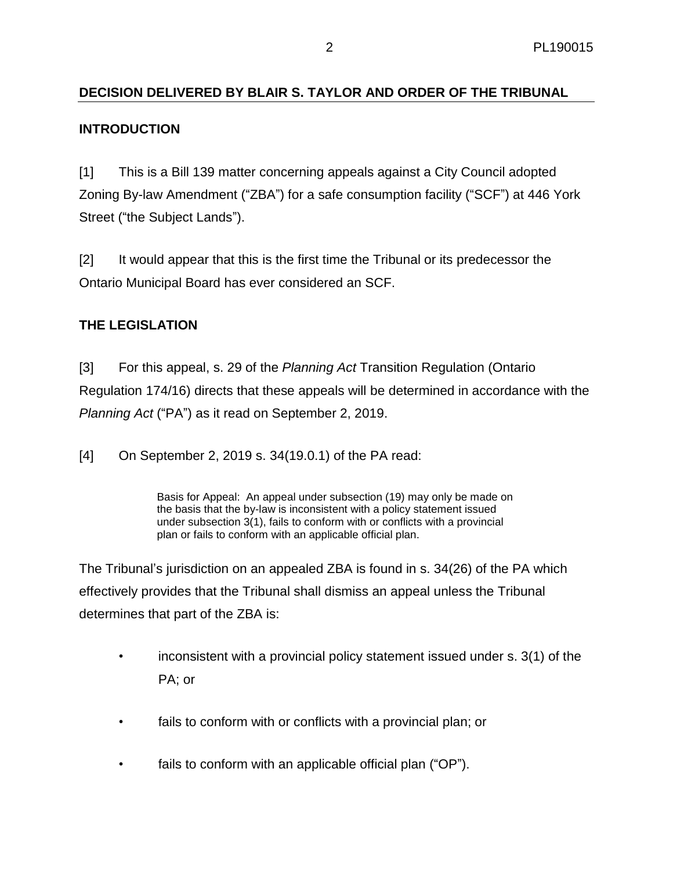# **DECISION DELIVERED BY BLAIR S. TAYLOR AND ORDER OF THE TRIBUNAL**

## **INTRODUCTION**

[1] This is a Bill 139 matter concerning appeals against a City Council adopted Zoning By-law Amendment ("ZBA") for a safe consumption facility ("SCF") at 446 York Street ("the Subject Lands").

[2] It would appear that this is the first time the Tribunal or its predecessor the Ontario Municipal Board has ever considered an SCF.

# **THE LEGISLATION**

[3] For this appeal, s. 29 of the *Planning Act* Transition Regulation (Ontario Regulation 174/16) directs that these appeals will be determined in accordance with the *Planning Act* ("PA") as it read on September 2, 2019.

[4] On September 2, 2019 s. 34(19.0.1) of the PA read:

Basis for Appeal: An appeal under subsection (19) may only be made on the basis that the by-law is inconsistent with a policy statement issued under subsection 3(1), fails to conform with or conflicts with a provincial plan or fails to conform with an applicable official plan.

The Tribunal's jurisdiction on an appealed ZBA is found in s. 34(26) of the PA which effectively provides that the Tribunal shall dismiss an appeal unless the Tribunal determines that part of the ZBA is:

- inconsistent with a provincial policy statement issued under s. 3(1) of the PA; or
- fails to conform with or conflicts with a provincial plan; or
- fails to conform with an applicable official plan ("OP").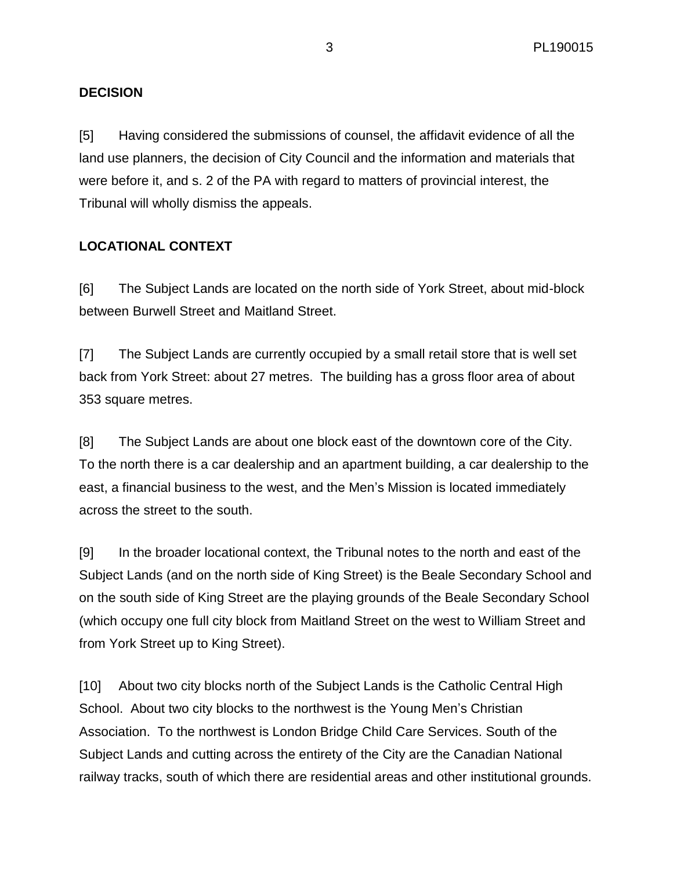## **DECISION**

[5] Having considered the submissions of counsel, the affidavit evidence of all the land use planners, the decision of City Council and the information and materials that were before it, and s. 2 of the PA with regard to matters of provincial interest, the Tribunal will wholly dismiss the appeals.

## **LOCATIONAL CONTEXT**

[6] The Subject Lands are located on the north side of York Street, about mid-block between Burwell Street and Maitland Street.

[7] The Subject Lands are currently occupied by a small retail store that is well set back from York Street: about 27 metres. The building has a gross floor area of about 353 square metres.

[8] The Subject Lands are about one block east of the downtown core of the City. To the north there is a car dealership and an apartment building, a car dealership to the east, a financial business to the west, and the Men's Mission is located immediately across the street to the south.

[9] In the broader locational context, the Tribunal notes to the north and east of the Subject Lands (and on the north side of King Street) is the Beale Secondary School and on the south side of King Street are the playing grounds of the Beale Secondary School (which occupy one full city block from Maitland Street on the west to William Street and from York Street up to King Street).

[10] About two city blocks north of the Subject Lands is the Catholic Central High School. About two city blocks to the northwest is the Young Men's Christian Association. To the northwest is London Bridge Child Care Services. South of the Subject Lands and cutting across the entirety of the City are the Canadian National railway tracks, south of which there are residential areas and other institutional grounds.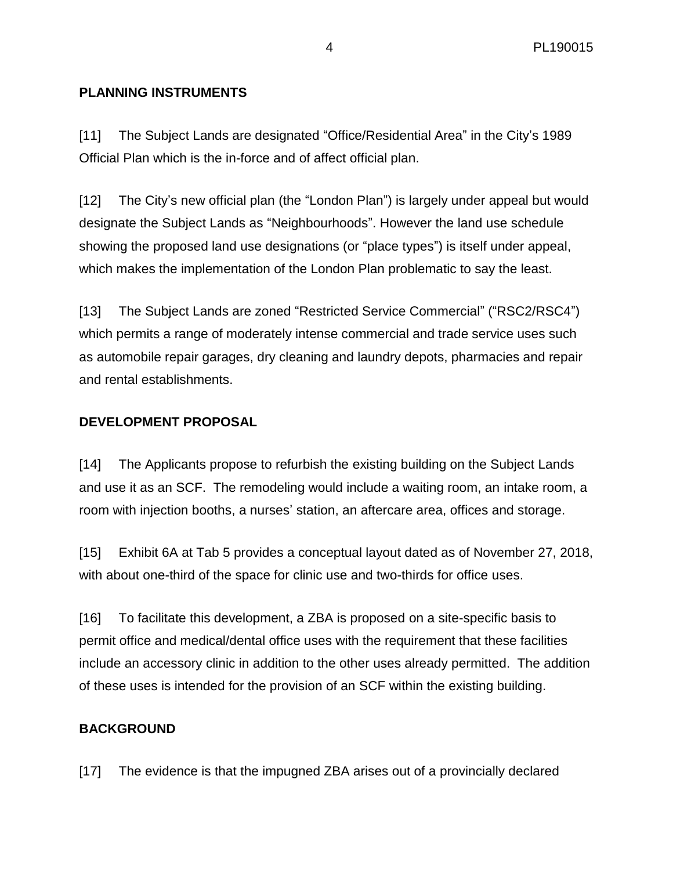## **PLANNING INSTRUMENTS**

[11] The Subject Lands are designated "Office/Residential Area" in the City's 1989 Official Plan which is the in-force and of affect official plan.

[12] The City's new official plan (the "London Plan") is largely under appeal but would designate the Subject Lands as "Neighbourhoods". However the land use schedule showing the proposed land use designations (or "place types") is itself under appeal, which makes the implementation of the London Plan problematic to say the least.

[13] The Subject Lands are zoned "Restricted Service Commercial" ("RSC2/RSC4") which permits a range of moderately intense commercial and trade service uses such as automobile repair garages, dry cleaning and laundry depots, pharmacies and repair and rental establishments.

#### **DEVELOPMENT PROPOSAL**

[14] The Applicants propose to refurbish the existing building on the Subject Lands and use it as an SCF. The remodeling would include a waiting room, an intake room, a room with injection booths, a nurses' station, an aftercare area, offices and storage.

[15] Exhibit 6A at Tab 5 provides a conceptual layout dated as of November 27, 2018, with about one-third of the space for clinic use and two-thirds for office uses.

[16] To facilitate this development, a ZBA is proposed on a site-specific basis to permit office and medical/dental office uses with the requirement that these facilities include an accessory clinic in addition to the other uses already permitted. The addition of these uses is intended for the provision of an SCF within the existing building.

#### **BACKGROUND**

[17] The evidence is that the impugned ZBA arises out of a provincially declared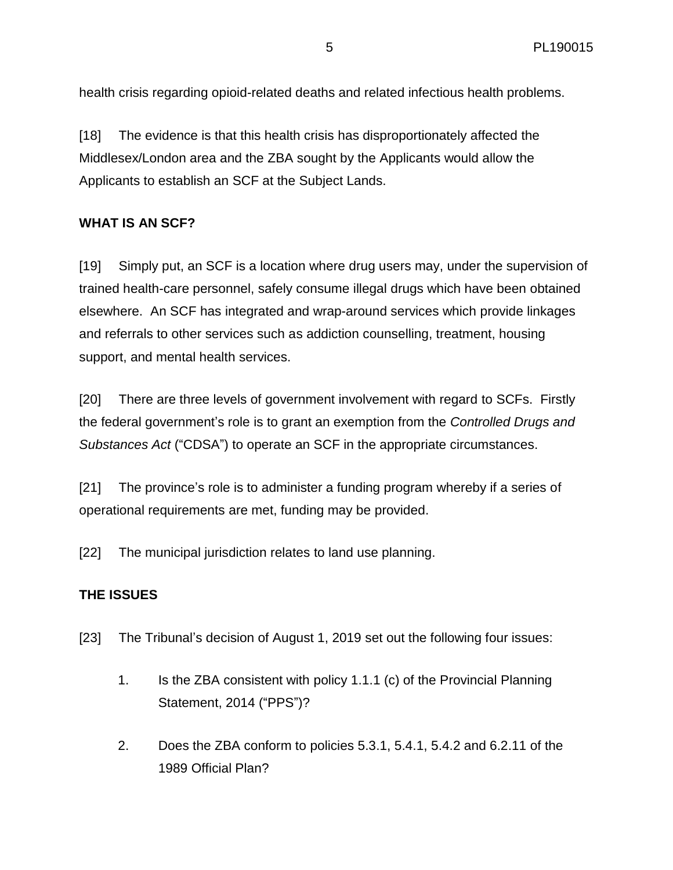health crisis regarding opioid-related deaths and related infectious health problems.

[18] The evidence is that this health crisis has disproportionately affected the Middlesex/London area and the ZBA sought by the Applicants would allow the Applicants to establish an SCF at the Subject Lands.

## **WHAT IS AN SCF?**

[19] Simply put, an SCF is a location where drug users may, under the supervision of trained health-care personnel, safely consume illegal drugs which have been obtained elsewhere. An SCF has integrated and wrap-around services which provide linkages and referrals to other services such as addiction counselling, treatment, housing support, and mental health services.

[20] There are three levels of government involvement with regard to SCFs. Firstly the federal government's role is to grant an exemption from the *Controlled Drugs and Substances Act* ("CDSA") to operate an SCF in the appropriate circumstances.

[21] The province's role is to administer a funding program whereby if a series of operational requirements are met, funding may be provided.

[22] The municipal jurisdiction relates to land use planning.

# **THE ISSUES**

- [23] The Tribunal's decision of August 1, 2019 set out the following four issues:
	- 1. Is the ZBA consistent with policy 1.1.1 (c) of the Provincial Planning Statement, 2014 ("PPS")?
	- 2. Does the ZBA conform to policies 5.3.1, 5.4.1, 5.4.2 and 6.2.11 of the 1989 Official Plan?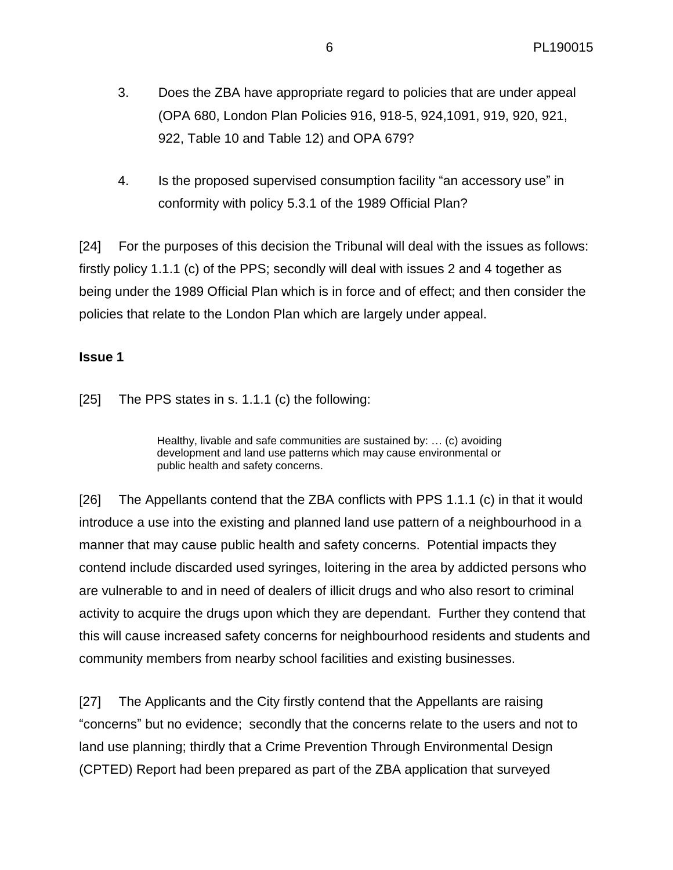- 3. Does the ZBA have appropriate regard to policies that are under appeal (OPA 680, London Plan Policies 916, 918-5, 924,1091, 919, 920, 921, 922, Table 10 and Table 12) and OPA 679?
- 4. Is the proposed supervised consumption facility "an accessory use" in conformity with policy 5.3.1 of the 1989 Official Plan?

[24] For the purposes of this decision the Tribunal will deal with the issues as follows: firstly policy 1.1.1 (c) of the PPS; secondly will deal with issues 2 and 4 together as being under the 1989 Official Plan which is in force and of effect; and then consider the policies that relate to the London Plan which are largely under appeal.

## **Issue 1**

[25] The PPS states in s. 1.1.1 (c) the following:

Healthy, livable and safe communities are sustained by: … (c) avoiding development and land use patterns which may cause environmental or public health and safety concerns.

[26] The Appellants contend that the ZBA conflicts with PPS 1.1.1 (c) in that it would introduce a use into the existing and planned land use pattern of a neighbourhood in a manner that may cause public health and safety concerns. Potential impacts they contend include discarded used syringes, loitering in the area by addicted persons who are vulnerable to and in need of dealers of illicit drugs and who also resort to criminal activity to acquire the drugs upon which they are dependant. Further they contend that this will cause increased safety concerns for neighbourhood residents and students and community members from nearby school facilities and existing businesses.

[27] The Applicants and the City firstly contend that the Appellants are raising "concerns" but no evidence; secondly that the concerns relate to the users and not to land use planning; thirdly that a Crime Prevention Through Environmental Design (CPTED) Report had been prepared as part of the ZBA application that surveyed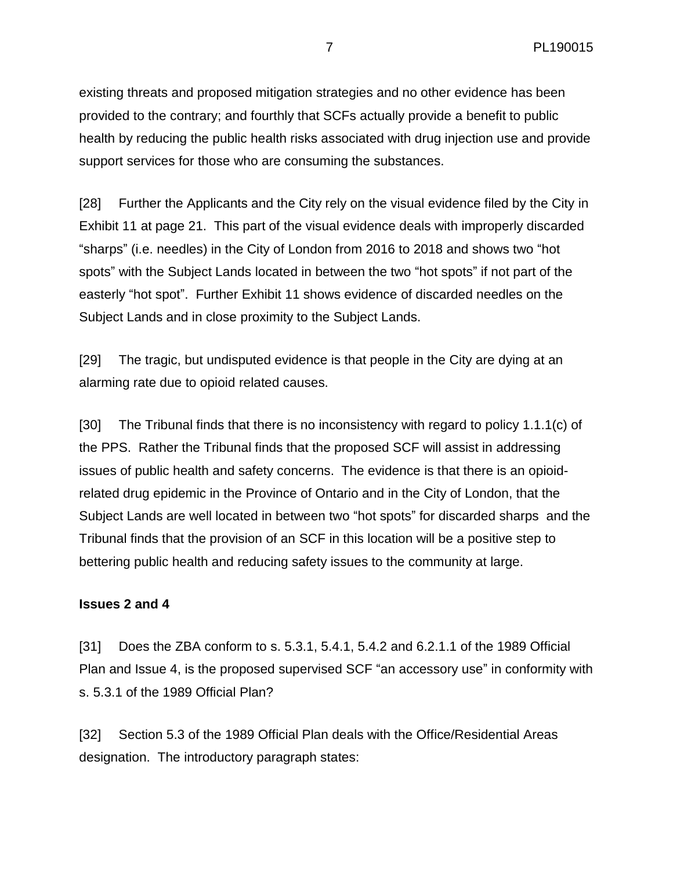existing threats and proposed mitigation strategies and no other evidence has been provided to the contrary; and fourthly that SCFs actually provide a benefit to public health by reducing the public health risks associated with drug injection use and provide support services for those who are consuming the substances.

[28] Further the Applicants and the City rely on the visual evidence filed by the City in Exhibit 11 at page 21. This part of the visual evidence deals with improperly discarded "sharps" (i.e. needles) in the City of London from 2016 to 2018 and shows two "hot spots" with the Subject Lands located in between the two "hot spots" if not part of the easterly "hot spot". Further Exhibit 11 shows evidence of discarded needles on the Subject Lands and in close proximity to the Subject Lands.

[29] The tragic, but undisputed evidence is that people in the City are dying at an alarming rate due to opioid related causes.

[30] The Tribunal finds that there is no inconsistency with regard to policy 1.1.1(c) of the PPS. Rather the Tribunal finds that the proposed SCF will assist in addressing issues of public health and safety concerns. The evidence is that there is an opioidrelated drug epidemic in the Province of Ontario and in the City of London, that the Subject Lands are well located in between two "hot spots" for discarded sharps and the Tribunal finds that the provision of an SCF in this location will be a positive step to bettering public health and reducing safety issues to the community at large.

#### **Issues 2 and 4**

[31] Does the ZBA conform to s. 5.3.1, 5.4.1, 5.4.2 and 6.2.1.1 of the 1989 Official Plan and Issue 4, is the proposed supervised SCF "an accessory use" in conformity with s. 5.3.1 of the 1989 Official Plan?

[32] Section 5.3 of the 1989 Official Plan deals with the Office/Residential Areas designation. The introductory paragraph states: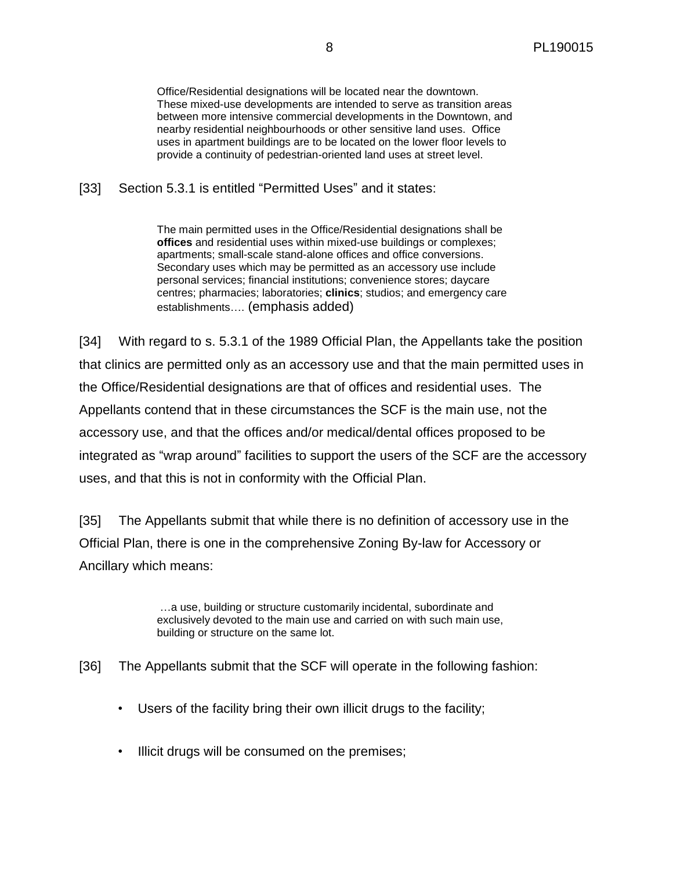Office/Residential designations will be located near the downtown. These mixed-use developments are intended to serve as transition areas between more intensive commercial developments in the Downtown, and nearby residential neighbourhoods or other sensitive land uses. Office uses in apartment buildings are to be located on the lower floor levels to provide a continuity of pedestrian-oriented land uses at street level.

[33] Section 5.3.1 is entitled "Permitted Uses" and it states:

The main permitted uses in the Office/Residential designations shall be **offices** and residential uses within mixed-use buildings or complexes; apartments; small-scale stand-alone offices and office conversions. Secondary uses which may be permitted as an accessory use include personal services; financial institutions; convenience stores; daycare centres; pharmacies; laboratories; **clinics**; studios; and emergency care establishments…. (emphasis added)

[34] With regard to s. 5.3.1 of the 1989 Official Plan, the Appellants take the position that clinics are permitted only as an accessory use and that the main permitted uses in the Office/Residential designations are that of offices and residential uses. The Appellants contend that in these circumstances the SCF is the main use, not the accessory use, and that the offices and/or medical/dental offices proposed to be integrated as "wrap around" facilities to support the users of the SCF are the accessory uses, and that this is not in conformity with the Official Plan.

[35] The Appellants submit that while there is no definition of accessory use in the Official Plan, there is one in the comprehensive Zoning By-law for Accessory or Ancillary which means:

> …a use, building or structure customarily incidental, subordinate and exclusively devoted to the main use and carried on with such main use, building or structure on the same lot.

[36] The Appellants submit that the SCF will operate in the following fashion:

- Users of the facility bring their own illicit drugs to the facility;
- Illicit drugs will be consumed on the premises;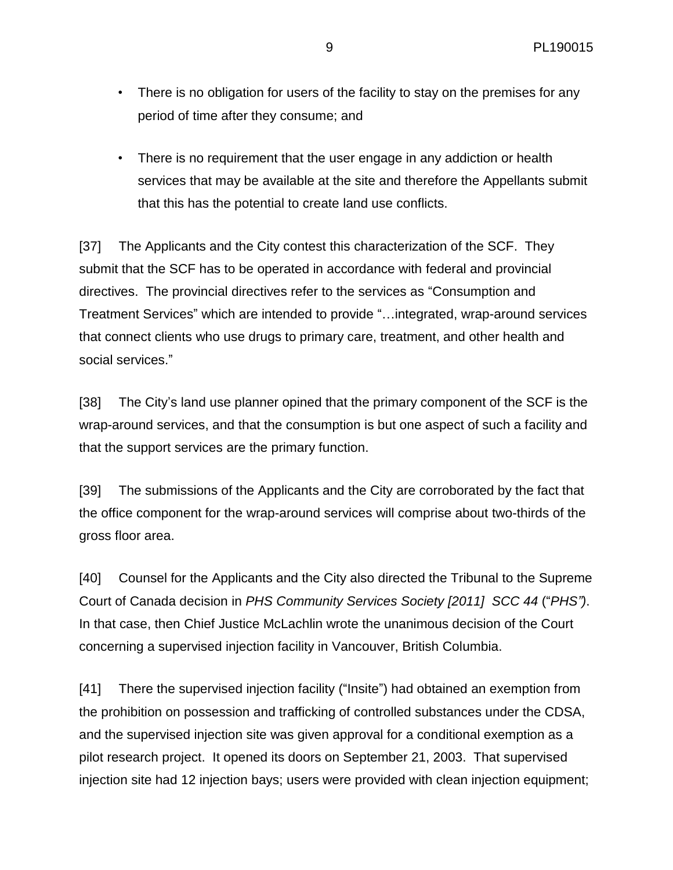- There is no obligation for users of the facility to stay on the premises for any period of time after they consume; and
- There is no requirement that the user engage in any addiction or health services that may be available at the site and therefore the Appellants submit that this has the potential to create land use conflicts.

[37] The Applicants and the City contest this characterization of the SCF. They submit that the SCF has to be operated in accordance with federal and provincial directives. The provincial directives refer to the services as "Consumption and Treatment Services" which are intended to provide "…integrated, wrap-around services that connect clients who use drugs to primary care, treatment, and other health and social services."

[38] The City's land use planner opined that the primary component of the SCF is the wrap-around services, and that the consumption is but one aspect of such a facility and that the support services are the primary function.

[39] The submissions of the Applicants and the City are corroborated by the fact that the office component for the wrap-around services will comprise about two-thirds of the gross floor area.

[40] Counsel for the Applicants and the City also directed the Tribunal to the Supreme Court of Canada decision in *PHS Community Services Society [2011] SCC 44* ("*PHS")*. In that case, then Chief Justice McLachlin wrote the unanimous decision of the Court concerning a supervised injection facility in Vancouver, British Columbia.

[41] There the supervised injection facility ("Insite") had obtained an exemption from the prohibition on possession and trafficking of controlled substances under the CDSA, and the supervised injection site was given approval for a conditional exemption as a pilot research project. It opened its doors on September 21, 2003. That supervised injection site had 12 injection bays; users were provided with clean injection equipment;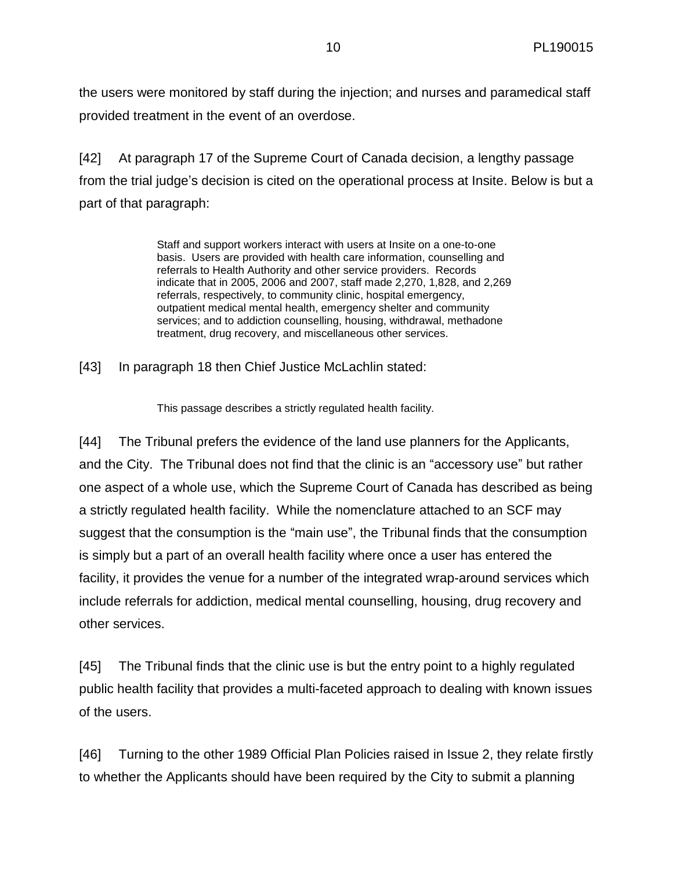the users were monitored by staff during the injection; and nurses and paramedical staff provided treatment in the event of an overdose.

[42] At paragraph 17 of the Supreme Court of Canada decision, a lengthy passage from the trial judge's decision is cited on the operational process at Insite. Below is but a part of that paragraph:

> Staff and support workers interact with users at Insite on a one-to-one basis. Users are provided with health care information, counselling and referrals to Health Authority and other service providers. Records indicate that in 2005, 2006 and 2007, staff made 2,270, 1,828, and 2,269 referrals, respectively, to community clinic, hospital emergency, outpatient medical mental health, emergency shelter and community services; and to addiction counselling, housing, withdrawal, methadone treatment, drug recovery, and miscellaneous other services.

[43] In paragraph 18 then Chief Justice McLachlin stated:

This passage describes a strictly regulated health facility.

[44] The Tribunal prefers the evidence of the land use planners for the Applicants, and the City. The Tribunal does not find that the clinic is an "accessory use" but rather one aspect of a whole use, which the Supreme Court of Canada has described as being a strictly regulated health facility. While the nomenclature attached to an SCF may suggest that the consumption is the "main use", the Tribunal finds that the consumption is simply but a part of an overall health facility where once a user has entered the facility, it provides the venue for a number of the integrated wrap-around services which include referrals for addiction, medical mental counselling, housing, drug recovery and other services.

[45] The Tribunal finds that the clinic use is but the entry point to a highly regulated public health facility that provides a multi-faceted approach to dealing with known issues of the users.

[46] Turning to the other 1989 Official Plan Policies raised in Issue 2, they relate firstly to whether the Applicants should have been required by the City to submit a planning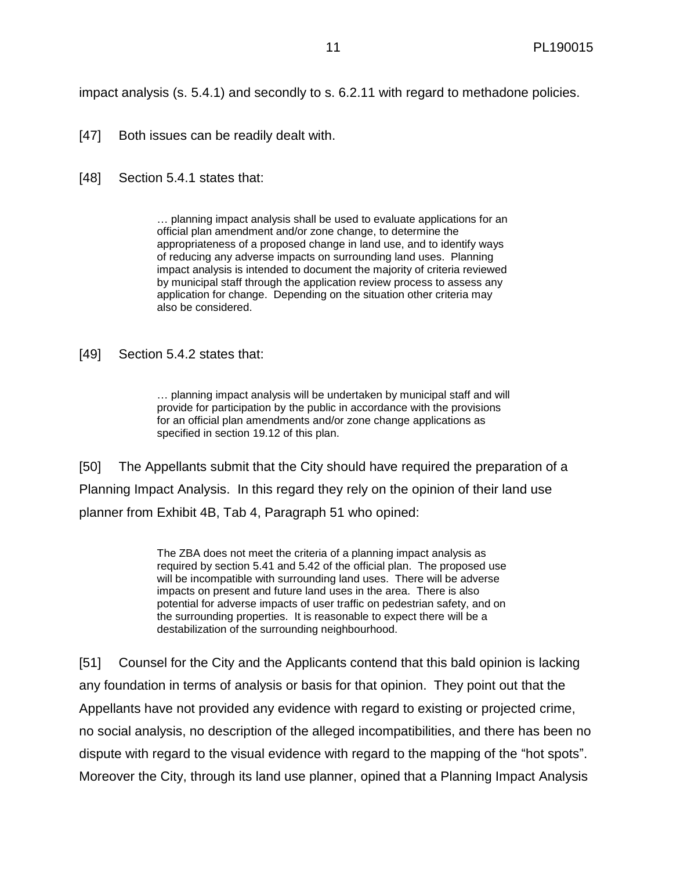impact analysis (s. 5.4.1) and secondly to s. 6.2.11 with regard to methadone policies.

- [47] Both issues can be readily dealt with.
- [48] Section 5.4.1 states that:

… planning impact analysis shall be used to evaluate applications for an official plan amendment and/or zone change, to determine the appropriateness of a proposed change in land use, and to identify ways of reducing any adverse impacts on surrounding land uses. Planning impact analysis is intended to document the majority of criteria reviewed by municipal staff through the application review process to assess any application for change. Depending on the situation other criteria may also be considered.

[49] Section 5.4.2 states that:

… planning impact analysis will be undertaken by municipal staff and will provide for participation by the public in accordance with the provisions for an official plan amendments and/or zone change applications as specified in section 19.12 of this plan.

[50] The Appellants submit that the City should have required the preparation of a Planning Impact Analysis. In this regard they rely on the opinion of their land use planner from Exhibit 4B, Tab 4, Paragraph 51 who opined:

> The ZBA does not meet the criteria of a planning impact analysis as required by section 5.41 and 5.42 of the official plan. The proposed use will be incompatible with surrounding land uses. There will be adverse impacts on present and future land uses in the area. There is also potential for adverse impacts of user traffic on pedestrian safety, and on the surrounding properties. It is reasonable to expect there will be a destabilization of the surrounding neighbourhood.

[51] Counsel for the City and the Applicants contend that this bald opinion is lacking any foundation in terms of analysis or basis for that opinion. They point out that the Appellants have not provided any evidence with regard to existing or projected crime, no social analysis, no description of the alleged incompatibilities, and there has been no dispute with regard to the visual evidence with regard to the mapping of the "hot spots". Moreover the City, through its land use planner, opined that a Planning Impact Analysis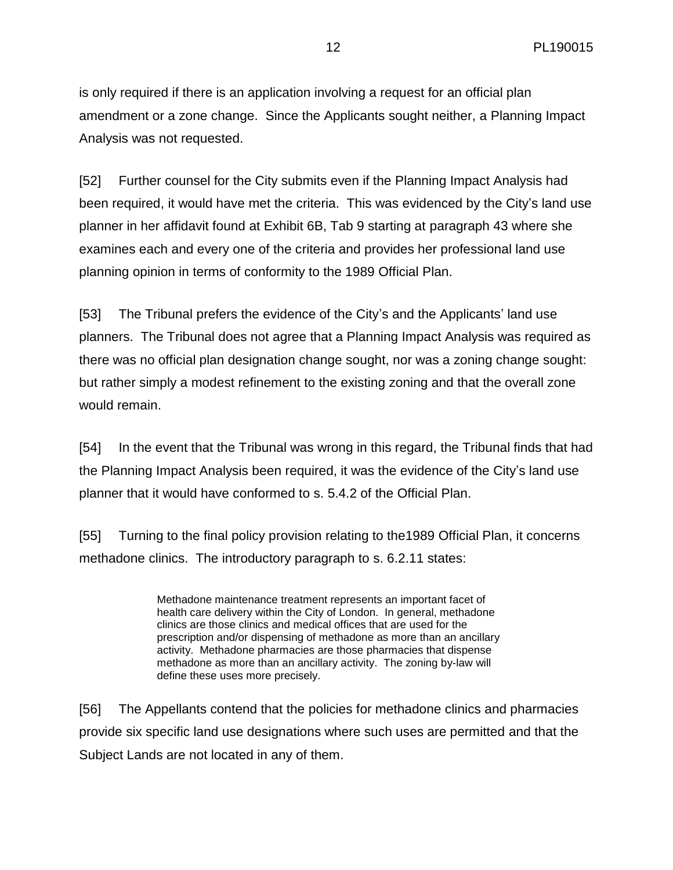is only required if there is an application involving a request for an official plan amendment or a zone change. Since the Applicants sought neither, a Planning Impact Analysis was not requested.

[52] Further counsel for the City submits even if the Planning Impact Analysis had been required, it would have met the criteria. This was evidenced by the City's land use planner in her affidavit found at Exhibit 6B, Tab 9 starting at paragraph 43 where she examines each and every one of the criteria and provides her professional land use planning opinion in terms of conformity to the 1989 Official Plan.

[53] The Tribunal prefers the evidence of the City's and the Applicants' land use planners. The Tribunal does not agree that a Planning Impact Analysis was required as there was no official plan designation change sought, nor was a zoning change sought: but rather simply a modest refinement to the existing zoning and that the overall zone would remain.

[54] In the event that the Tribunal was wrong in this regard, the Tribunal finds that had the Planning Impact Analysis been required, it was the evidence of the City's land use planner that it would have conformed to s. 5.4.2 of the Official Plan.

[55] Turning to the final policy provision relating to the1989 Official Plan, it concerns methadone clinics. The introductory paragraph to s. 6.2.11 states:

> Methadone maintenance treatment represents an important facet of health care delivery within the City of London. In general, methadone clinics are those clinics and medical offices that are used for the prescription and/or dispensing of methadone as more than an ancillary activity. Methadone pharmacies are those pharmacies that dispense methadone as more than an ancillary activity. The zoning by-law will define these uses more precisely.

[56] The Appellants contend that the policies for methadone clinics and pharmacies provide six specific land use designations where such uses are permitted and that the Subject Lands are not located in any of them.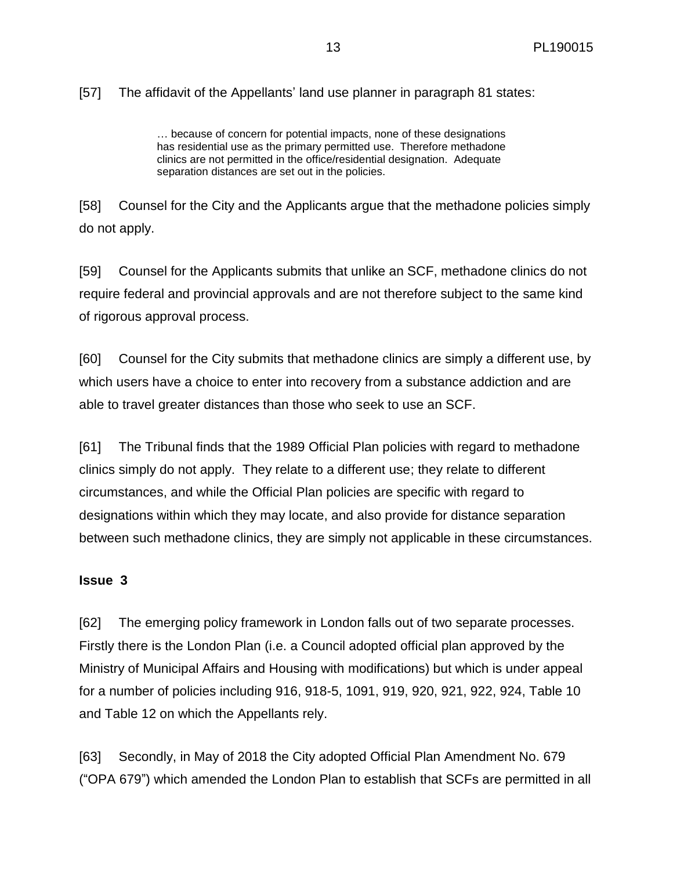## [57] The affidavit of the Appellants' land use planner in paragraph 81 states:

… because of concern for potential impacts, none of these designations has residential use as the primary permitted use. Therefore methadone clinics are not permitted in the office/residential designation. Adequate separation distances are set out in the policies.

[58] Counsel for the City and the Applicants argue that the methadone policies simply do not apply.

[59] Counsel for the Applicants submits that unlike an SCF, methadone clinics do not require federal and provincial approvals and are not therefore subject to the same kind of rigorous approval process.

[60] Counsel for the City submits that methadone clinics are simply a different use, by which users have a choice to enter into recovery from a substance addiction and are able to travel greater distances than those who seek to use an SCF.

[61] The Tribunal finds that the 1989 Official Plan policies with regard to methadone clinics simply do not apply. They relate to a different use; they relate to different circumstances, and while the Official Plan policies are specific with regard to designations within which they may locate, and also provide for distance separation between such methadone clinics, they are simply not applicable in these circumstances.

#### **Issue 3**

[62] The emerging policy framework in London falls out of two separate processes. Firstly there is the London Plan (i.e. a Council adopted official plan approved by the Ministry of Municipal Affairs and Housing with modifications) but which is under appeal for a number of policies including 916, 918-5, 1091, 919, 920, 921, 922, 924, Table 10 and Table 12 on which the Appellants rely.

[63] Secondly, in May of 2018 the City adopted Official Plan Amendment No. 679 ("OPA 679") which amended the London Plan to establish that SCFs are permitted in all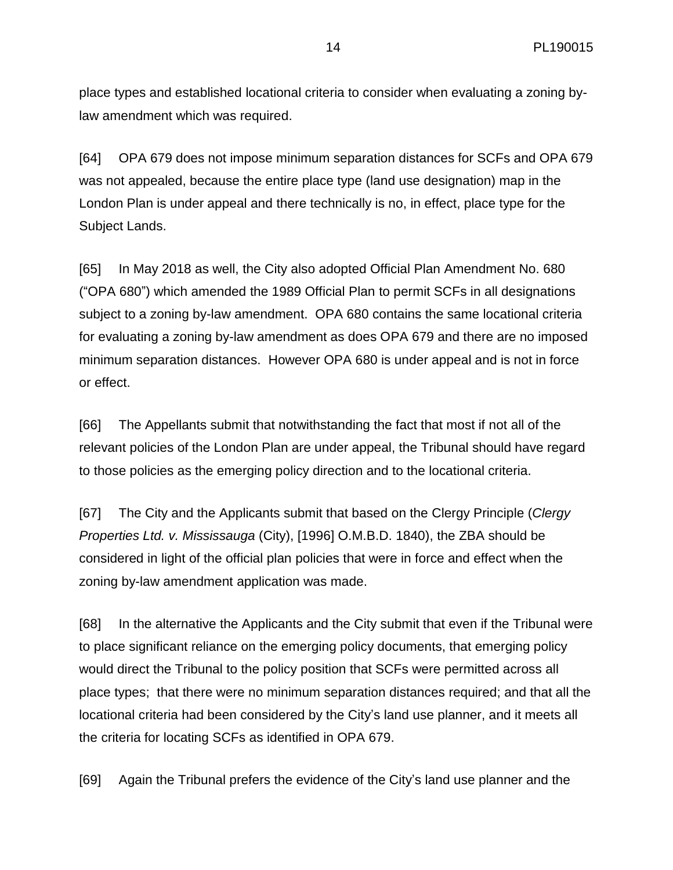place types and established locational criteria to consider when evaluating a zoning bylaw amendment which was required.

[64] OPA 679 does not impose minimum separation distances for SCFs and OPA 679 was not appealed, because the entire place type (land use designation) map in the London Plan is under appeal and there technically is no, in effect, place type for the Subject Lands.

[65] In May 2018 as well, the City also adopted Official Plan Amendment No. 680 ("OPA 680") which amended the 1989 Official Plan to permit SCFs in all designations subject to a zoning by-law amendment. OPA 680 contains the same locational criteria for evaluating a zoning by-law amendment as does OPA 679 and there are no imposed minimum separation distances. However OPA 680 is under appeal and is not in force or effect.

[66] The Appellants submit that notwithstanding the fact that most if not all of the relevant policies of the London Plan are under appeal, the Tribunal should have regard to those policies as the emerging policy direction and to the locational criteria.

[67] The City and the Applicants submit that based on the Clergy Principle (*Clergy Properties Ltd. v. Mississauga* (City), [1996] O.M.B.D. 1840), the ZBA should be considered in light of the official plan policies that were in force and effect when the zoning by-law amendment application was made.

[68] In the alternative the Applicants and the City submit that even if the Tribunal were to place significant reliance on the emerging policy documents, that emerging policy would direct the Tribunal to the policy position that SCFs were permitted across all place types; that there were no minimum separation distances required; and that all the locational criteria had been considered by the City's land use planner, and it meets all the criteria for locating SCFs as identified in OPA 679.

[69] Again the Tribunal prefers the evidence of the City's land use planner and the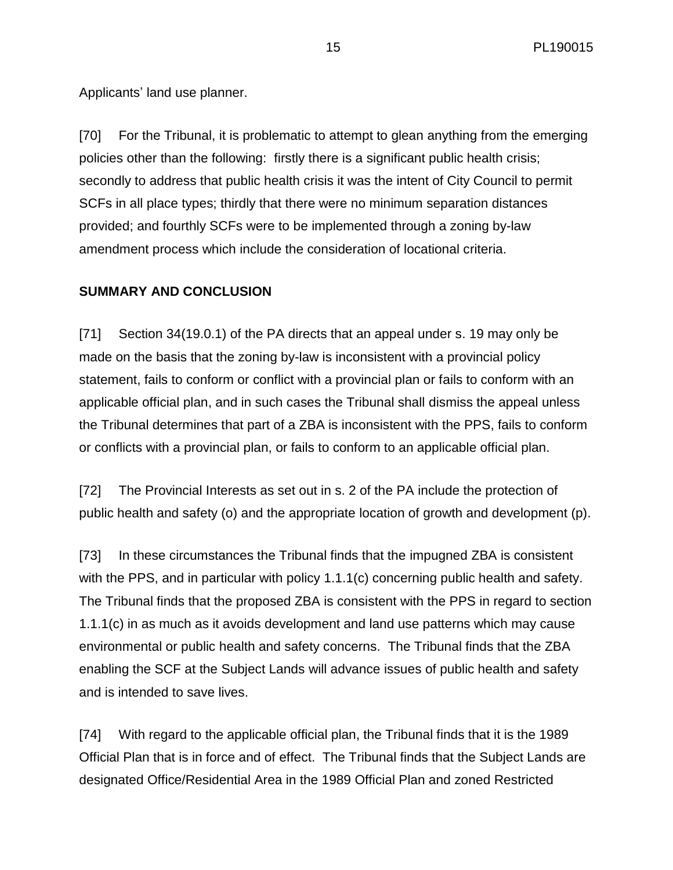Applicants' land use planner.

[70] For the Tribunal, it is problematic to attempt to glean anything from the emerging policies other than the following: firstly there is a significant public health crisis; secondly to address that public health crisis it was the intent of City Council to permit SCFs in all place types; thirdly that there were no minimum separation distances provided; and fourthly SCFs were to be implemented through a zoning by-law amendment process which include the consideration of locational criteria.

#### **SUMMARY AND CONCLUSION**

[71] Section 34(19.0.1) of the PA directs that an appeal under s. 19 may only be made on the basis that the zoning by-law is inconsistent with a provincial policy statement, fails to conform or conflict with a provincial plan or fails to conform with an applicable official plan, and in such cases the Tribunal shall dismiss the appeal unless the Tribunal determines that part of a ZBA is inconsistent with the PPS, fails to conform or conflicts with a provincial plan, or fails to conform to an applicable official plan.

[72] The Provincial Interests as set out in s. 2 of the PA include the protection of public health and safety (o) and the appropriate location of growth and development (p).

[73] In these circumstances the Tribunal finds that the impugned ZBA is consistent with the PPS, and in particular with policy 1.1.1(c) concerning public health and safety. The Tribunal finds that the proposed ZBA is consistent with the PPS in regard to section 1.1.1(c) in as much as it avoids development and land use patterns which may cause environmental or public health and safety concerns. The Tribunal finds that the ZBA enabling the SCF at the Subject Lands will advance issues of public health and safety and is intended to save lives.

[74] With regard to the applicable official plan, the Tribunal finds that it is the 1989 Official Plan that is in force and of effect. The Tribunal finds that the Subject Lands are designated Office/Residential Area in the 1989 Official Plan and zoned Restricted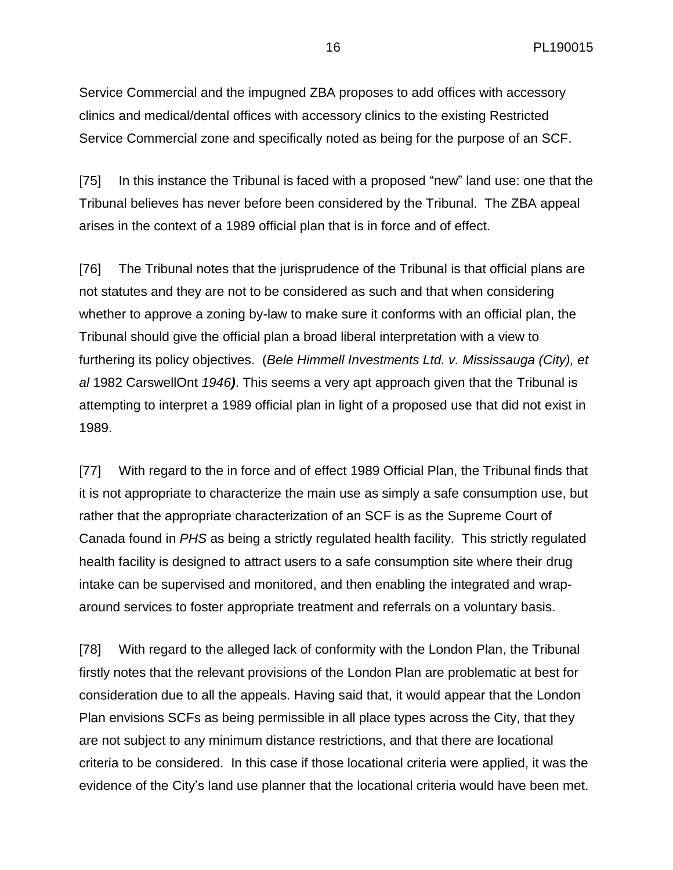Service Commercial and the impugned ZBA proposes to add offices with accessory clinics and medical/dental offices with accessory clinics to the existing Restricted Service Commercial zone and specifically noted as being for the purpose of an SCF.

[75] In this instance the Tribunal is faced with a proposed "new" land use: one that the Tribunal believes has never before been considered by the Tribunal. The ZBA appeal arises in the context of a 1989 official plan that is in force and of effect.

[76] The Tribunal notes that the jurisprudence of the Tribunal is that official plans are not statutes and they are not to be considered as such and that when considering whether to approve a zoning by-law to make sure it conforms with an official plan, the Tribunal should give the official plan a broad liberal interpretation with a view to furthering its policy objectives. (*Bele Himmell Investments Ltd. v. Mississauga (City), et al* 1982 CarswellOnt *1946)*. This seems a very apt approach given that the Tribunal is attempting to interpret a 1989 official plan in light of a proposed use that did not exist in 1989.

[77] With regard to the in force and of effect 1989 Official Plan, the Tribunal finds that it is not appropriate to characterize the main use as simply a safe consumption use, but rather that the appropriate characterization of an SCF is as the Supreme Court of Canada found in *PHS* as being a strictly regulated health facility. This strictly regulated health facility is designed to attract users to a safe consumption site where their drug intake can be supervised and monitored, and then enabling the integrated and wraparound services to foster appropriate treatment and referrals on a voluntary basis.

[78] With regard to the alleged lack of conformity with the London Plan, the Tribunal firstly notes that the relevant provisions of the London Plan are problematic at best for consideration due to all the appeals. Having said that, it would appear that the London Plan envisions SCFs as being permissible in all place types across the City, that they are not subject to any minimum distance restrictions, and that there are locational criteria to be considered. In this case if those locational criteria were applied, it was the evidence of the City's land use planner that the locational criteria would have been met.